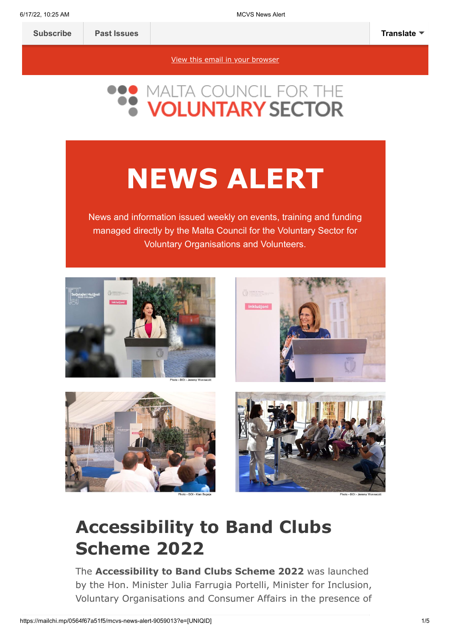[View this email in your browser](https://mailchi.mp/0564f67a51f5/mcvs-news-alert-9059013?e=[UNIQID])



# **NEWS ALERT**

News and information issued weekly on events, training and funding managed directly by the Malta Council for the Voluntary Sector for Voluntary Organisations and Volunteers.









### **Accessibility to Band Clubs Scheme 2022**

The **Accessibility to Band Clubs Scheme 2022** was launched by the Hon. Minister Julia Farrugia Portelli, Minister for Inclusion, Voluntary Organisations and Consumer Affairs in the presence of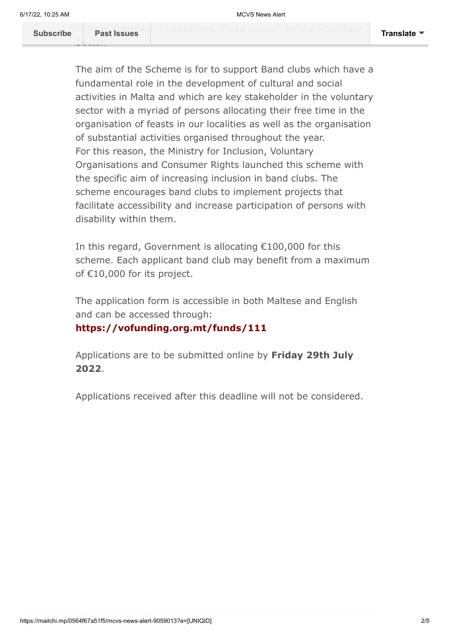Sector.

The aim of the Scheme is for to support Band clubs which have a fundamental role in the development of cultural and social activities in Malta and which are key stakeholder in the voluntary sector with a myriad of persons allocating their free time in the organisation of feasts in our localities as well as the organisation of substantial activities organised throughout the year. For this reason, the Ministry for Inclusion, Voluntary Organisations and Consumer Rights launched this scheme with the specific aim of increasing inclusion in band clubs. The scheme encourages band clubs to implement projects that facilitate accessibility and increase participation of persons with disability within them.

In this regard, Government is allocating €100,000 for this scheme. Each applicant band club may benefit from a maximum of €10,000 for its project.

The application form is accessible in both Maltese and English and can be accessed through:

#### **<https://vofunding.org.mt/funds/111>**

Applications are to be submitted online by **Friday 29th July 2022**.

Applications received after this deadline will not be considered.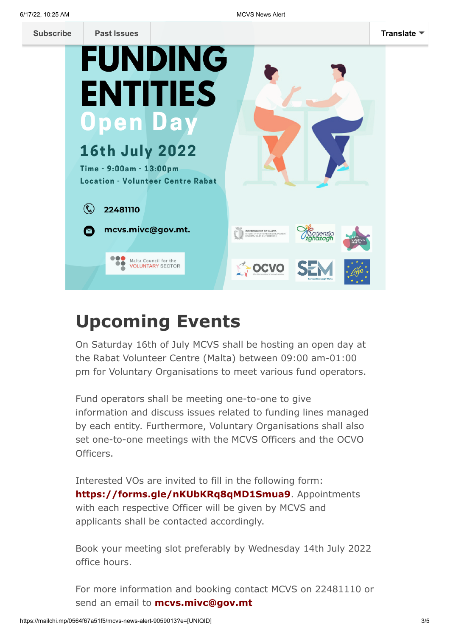| <b>Subscribe</b> | <b>Past Issues</b>                                                  | <b>Translate</b>                                                                     |
|------------------|---------------------------------------------------------------------|--------------------------------------------------------------------------------------|
|                  | <b>FUNDING</b>                                                      |                                                                                      |
|                  | <b>ENTITIES</b>                                                     |                                                                                      |
|                  | <b>Open Day</b>                                                     |                                                                                      |
|                  | <b>16th July 2022</b>                                               |                                                                                      |
|                  | Time - 9:00am - 13:00pm<br><b>Location - Volunteer Centre Rabat</b> |                                                                                      |
|                  | 22481110                                                            |                                                                                      |
|                  | mcvs.mivc@gov.mt.                                                   | <b>GOVERNMENT OF MALTA</b><br>MINISTRY FOR THE ENVIRONMENT,<br>ENERGY AND ENTERPRISE |
|                  | Malta Council for the<br><b>VOLUNTARY SECTOR</b>                    | <b>MAOCVO</b>                                                                        |
|                  |                                                                     |                                                                                      |

## **Upcoming Events**

On Saturday 16th of July MCVS shall be hosting an open day at the Rabat Volunteer Centre (Malta) between 09:00 am-01:00 pm for Voluntary Organisations to meet various fund operators.

Fund operators shall be meeting one-to-one to give information and discuss issues related to funding lines managed by each entity. Furthermore, Voluntary Organisations shall also set one-to-one meetings with the MCVS Officers and the OCVO Officers.

Interested VOs are invited to fill in the following form: **<https://forms.gle/nKUbKRq8qMD1Smua9>**. Appointments with each respective Officer will be given by MCVS and applicants shall be contacted accordingly.

Book your meeting slot preferably by Wednesday 14th July 2022 office hours.

For more information and booking contact MCVS on 22481110 or send an email to **[mcvs.mivc@gov.mt](http://mcvs.mivc@gov.mt/)**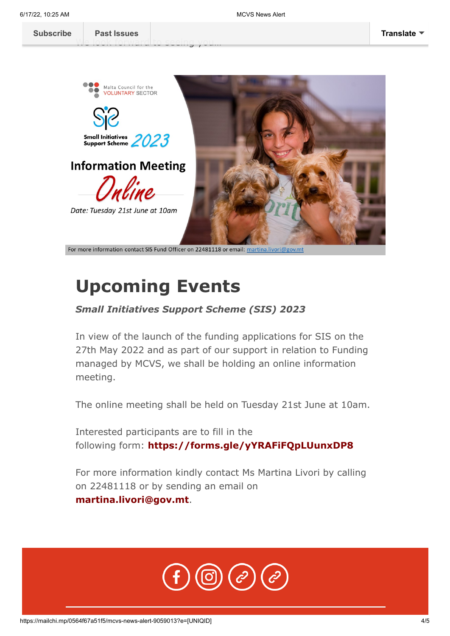[We look forward](https://us14.campaign-archive.com/home/?u=683cbfbd88de4de43adbf2d29&id=2f83d2c47d) to seeing you...



For more information contact SIS Fund Officer on 22481118 or email: martina.livori@gov.mt

#### **Upcoming Events**

#### *Small Initiatives Support Scheme (SIS) 2023*

In view of the launch of the funding applications for SIS on the 27th May 2022 and as part of our support in relation to Funding managed by MCVS, we shall be holding an online information meeting.

The online meeting shall be held on Tuesday 21st June at 10am.

Interested participants are to fill in the following form: **<https://forms.gle/yYRAFiFQpLUunxDP8>**

For more information kindly contact Ms Martina Livori by calling on 22481118 or by sending an email on **[martina.livori@gov.mt](http://martina.livori@gov.mt/)**.